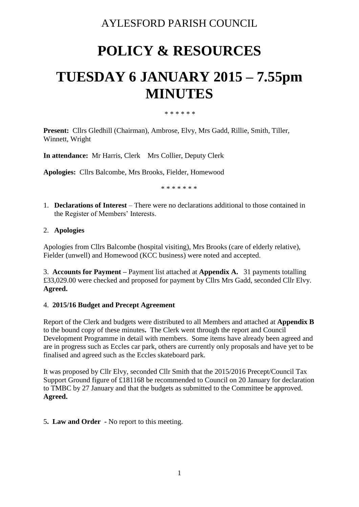# AYLESFORD PARISH COUNCIL

# **POLICY & RESOURCES**

# **TUESDAY 6 JANUARY 2015 – 7.55pm MINUTES**

#### \* \* \* \* \* \*

**Present:** Cllrs Gledhill (Chairman), Ambrose, Elvy, Mrs Gadd, Rillie, Smith, Tiller, Winnett, Wright

**In attendance:** Mr Harris, Clerk Mrs Collier, Deputy Clerk

**Apologies:** Cllrs Balcombe, Mrs Brooks, Fielder, Homewood

\* \* \* \* \* \* \*

1. **Declarations of Interest** – There were no declarations additional to those contained in the Register of Members' Interests.

# 2. **Apologies**

Apologies from Cllrs Balcombe (hospital visiting), Mrs Brooks (care of elderly relative), Fielder (unwell) and Homewood (KCC business) were noted and accepted.

3. **Accounts for Payment –** Payment list attached at **Appendix A.** 31 payments totalling £33,029.00 were checked and proposed for payment by Cllrs Mrs Gadd, seconded Cllr Elvy. **Agreed.**

# 4. **2015/16 Budget and Precept Agreement**

Report of the Clerk and budgets were distributed to all Members and attached at **Appendix B** to the bound copy of these minutes**.** The Clerk went through the report and Council Development Programme in detail with members. Some items have already been agreed and are in progress such as Eccles car park, others are currently only proposals and have yet to be finalised and agreed such as the Eccles skateboard park.

It was proposed by Cllr Elvy, seconded Cllr Smith that the 2015/2016 Precept/Council Tax Support Ground figure of £181168 be recommended to Council on 20 January for declaration to TMBC by 27 January and that the budgets as submitted to the Committee be approved. **Agreed.**

5**. Law and Order -** No report to this meeting.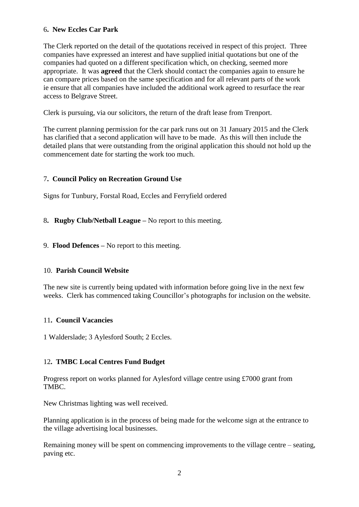# 6**. New Eccles Car Park**

The Clerk reported on the detail of the quotations received in respect of this project. Three companies have expressed an interest and have supplied initial quotations but one of the companies had quoted on a different specification which, on checking, seemed more appropriate. It was **agreed** that the Clerk should contact the companies again to ensure he can compare prices based on the same specification and for all relevant parts of the work ie ensure that all companies have included the additional work agreed to resurface the rear access to Belgrave Street.

Clerk is pursuing, via our solicitors, the return of the draft lease from Trenport.

The current planning permission for the car park runs out on 31 January 2015 and the Clerk has clarified that a second application will have to be made. As this will then include the detailed plans that were outstanding from the original application this should not hold up the commencement date for starting the work too much.

# 7**. Council Policy on Recreation Ground Use**

Signs for Tunbury, Forstal Road, Eccles and Ferryfield ordered

- 8**. Rugby Club/Netball League –** No report to this meeting.
- 9. **Flood Defences –** No report to this meeting.

#### 10. **Parish Council Website**

The new site is currently being updated with information before going live in the next few weeks. Clerk has commenced taking Councillor's photographs for inclusion on the website.

#### 11**. Council Vacancies**

1 Walderslade; 3 Aylesford South; 2 Eccles.

#### 12**. TMBC Local Centres Fund Budget**

Progress report on works planned for Aylesford village centre using £7000 grant from TMBC.

New Christmas lighting was well received.

Planning application is in the process of being made for the welcome sign at the entrance to the village advertising local businesses.

Remaining money will be spent on commencing improvements to the village centre – seating, paving etc.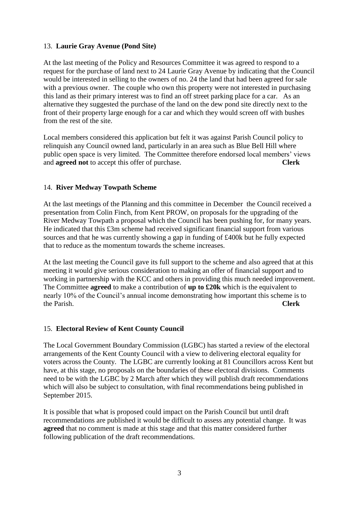# 13. **Laurie Gray Avenue (Pond Site)**

At the last meeting of the Policy and Resources Committee it was agreed to respond to a request for the purchase of land next to 24 Laurie Gray Avenue by indicating that the Council would be interested in selling to the owners of no. 24 the land that had been agreed for sale with a previous owner. The couple who own this property were not interested in purchasing this land as their primary interest was to find an off street parking place for a car. As an alternative they suggested the purchase of the land on the dew pond site directly next to the front of their property large enough for a car and which they would screen off with bushes from the rest of the site.

Local members considered this application but felt it was against Parish Council policy to relinquish any Council owned land, particularly in an area such as Blue Bell Hill where public open space is very limited. The Committee therefore endorsed local members' views and **agreed not** to accept this offer of purchase. **Clerk**

#### 14. **River Medway Towpath Scheme**

At the last meetings of the Planning and this committee in December the Council received a presentation from Colin Finch, from Kent PROW, on proposals for the upgrading of the River Medway Towpath a proposal which the Council has been pushing for, for many years. He indicated that this £3m scheme had received significant financial support from various sources and that he was currently showing a gap in funding of £400k but he fully expected that to reduce as the momentum towards the scheme increases.

At the last meeting the Council gave its full support to the scheme and also agreed that at this meeting it would give serious consideration to making an offer of financial support and to working in partnership with the KCC and others in providing this much needed improvement. The Committee **agreed** to make a contribution of **up to £20k** which is the equivalent to nearly 10% of the Council's annual income demonstrating how important this scheme is to the Parish. **Clerk**

#### 15. **Electoral Review of Kent County Council**

The Local Government Boundary Commission (LGBC) has started a review of the electoral arrangements of the Kent County Council with a view to delivering electoral equality for voters across the County. The LGBC are currently looking at 81 Councillors across Kent but have, at this stage, no proposals on the boundaries of these electoral divisions. Comments need to be with the LGBC by 2 March after which they will publish draft recommendations which will also be subject to consultation, with final recommendations being published in September 2015.

It is possible that what is proposed could impact on the Parish Council but until draft recommendations are published it would be difficult to assess any potential change. It was **agreed** that no comment is made at this stage and that this matter considered further following publication of the draft recommendations.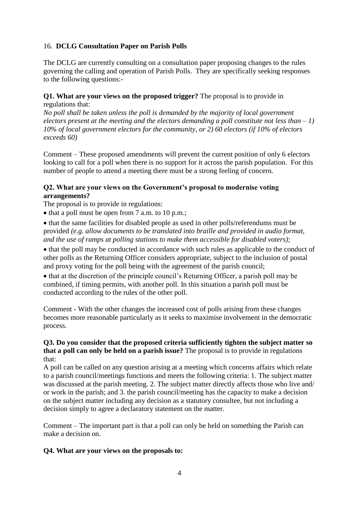# 16. **DCLG Consultation Paper on Parish Polls**

The DCLG are currently consulting on a consultation paper proposing changes to the rules governing the calling and operation of Parish Polls. They are specifically seeking responses to the following questions:-

#### **Q1. What are your views on the proposed trigger?** The proposal is to provide in regulations that:

*No poll shall be taken unless the poll is demanded by the majority of local government electors present at the meeting and the electors demanding a poll constitute not less than – 1) 10% of local government electors for the community, or 2) 60 electors (if 10% of electors exceeds 60)*

Comment – These proposed amendments will prevent the current position of only 6 electors looking to call for a poll when there is no support for it across the parish population. For this number of people to attend a meeting there must be a strong feeling of concern.

# **Q2. What are your views on the Government's proposal to modernise voting arrangements?**

The proposal is to provide in regulations:

 $\bullet$  that a poll must be open from 7 a.m. to 10 p.m.;

• that the same facilities for disabled people as used in other polls/referendums must be provided *(e.g. allow documents to be translated into braille and provided in audio format, and the use of ramps at polling stations to make them accessible for disabled voters)*;

• that the poll may be conducted in accordance with such rules as applicable to the conduct of other polls as the Returning Officer considers appropriate, subject to the inclusion of postal and proxy voting for the poll being with the agreement of the parish council;

• that at the discretion of the principle council's Returning Officer, a parish poll may be combined, if timing permits, with another poll. In this situation a parish poll must be conducted according to the rules of the other poll.

Comment - With the other changes the increased cost of polls arising from these changes becomes more reasonable particularly as it seeks to maximise involvement in the democratic process.

#### **Q3. Do you consider that the proposed criteria sufficiently tighten the subject matter so that a poll can only be held on a parish issue?** The proposal is to provide in regulations that:

A poll can be called on any question arising at a meeting which concerns affairs which relate to a parish council/meetings functions and meets the following criteria: 1. The subject matter was discussed at the parish meeting. 2. The subject matter directly affects those who live and/ or work in the parish; and 3. the parish council/meeting has the capacity to make a decision on the subject matter including any decision as a statutory consultee, but not including a decision simply to agree a declaratory statement on the matter.

Comment – The important part is that a poll can only be held on something the Parish can make a decision on.

# **Q4. What are your views on the proposals to:**